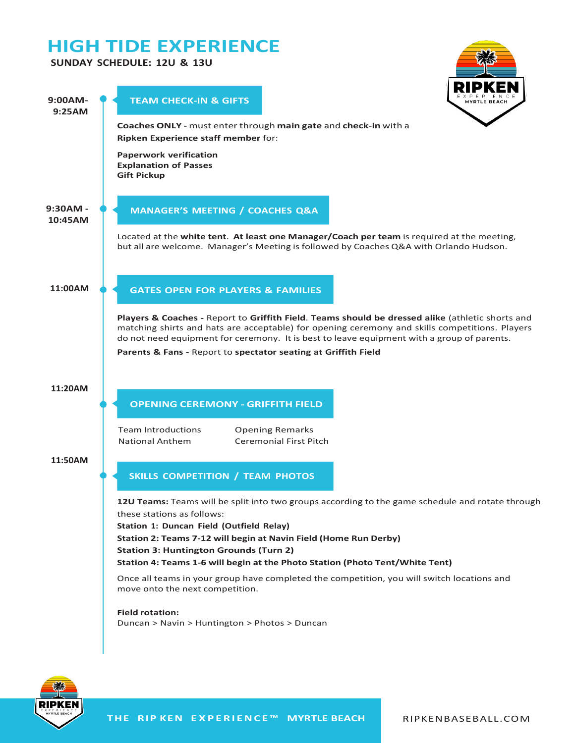# **HIGH TIDE EXPERIENCE**

## **SUNDAY SCHEDULE: 12U & 13U**